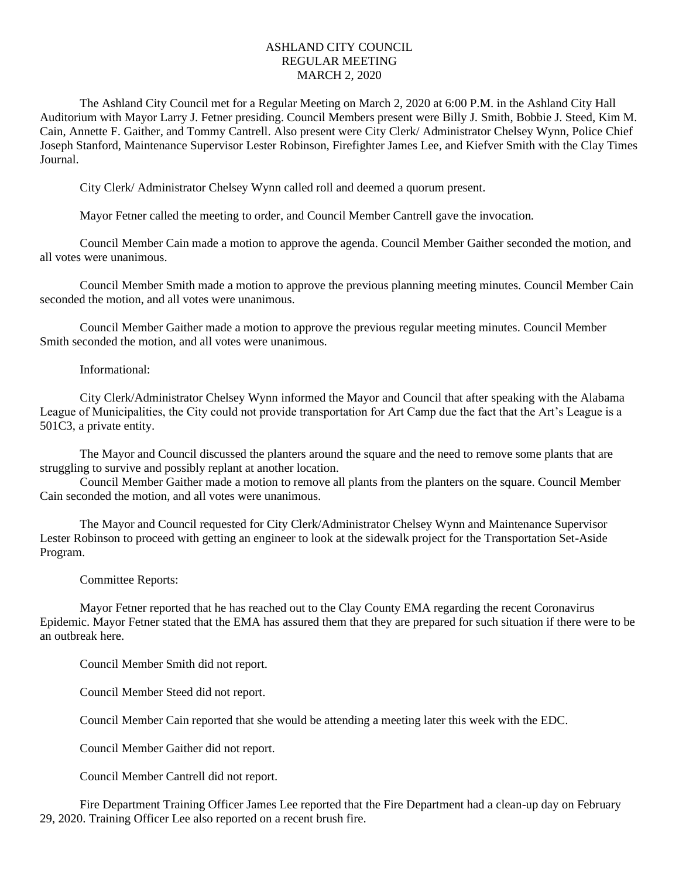## ASHLAND CITY COUNCIL REGULAR MEETING MARCH 2, 2020

The Ashland City Council met for a Regular Meeting on March 2, 2020 at 6:00 P.M. in the Ashland City Hall Auditorium with Mayor Larry J. Fetner presiding. Council Members present were Billy J. Smith, Bobbie J. Steed, Kim M. Cain, Annette F. Gaither, and Tommy Cantrell. Also present were City Clerk/ Administrator Chelsey Wynn, Police Chief Joseph Stanford, Maintenance Supervisor Lester Robinson, Firefighter James Lee, and Kiefver Smith with the Clay Times Journal.

City Clerk/ Administrator Chelsey Wynn called roll and deemed a quorum present.

Mayor Fetner called the meeting to order, and Council Member Cantrell gave the invocation.

Council Member Cain made a motion to approve the agenda. Council Member Gaither seconded the motion, and all votes were unanimous.

Council Member Smith made a motion to approve the previous planning meeting minutes. Council Member Cain seconded the motion, and all votes were unanimous.

Council Member Gaither made a motion to approve the previous regular meeting minutes. Council Member Smith seconded the motion, and all votes were unanimous.

## Informational:

City Clerk/Administrator Chelsey Wynn informed the Mayor and Council that after speaking with the Alabama League of Municipalities, the City could not provide transportation for Art Camp due the fact that the Art's League is a 501C3, a private entity.

The Mayor and Council discussed the planters around the square and the need to remove some plants that are struggling to survive and possibly replant at another location.

Council Member Gaither made a motion to remove all plants from the planters on the square. Council Member Cain seconded the motion, and all votes were unanimous.

The Mayor and Council requested for City Clerk/Administrator Chelsey Wynn and Maintenance Supervisor Lester Robinson to proceed with getting an engineer to look at the sidewalk project for the Transportation Set-Aside Program.

## Committee Reports:

Mayor Fetner reported that he has reached out to the Clay County EMA regarding the recent Coronavirus Epidemic. Mayor Fetner stated that the EMA has assured them that they are prepared for such situation if there were to be an outbreak here.

Council Member Smith did not report.

Council Member Steed did not report.

Council Member Cain reported that she would be attending a meeting later this week with the EDC.

Council Member Gaither did not report.

Council Member Cantrell did not report.

Fire Department Training Officer James Lee reported that the Fire Department had a clean-up day on February 29, 2020. Training Officer Lee also reported on a recent brush fire.